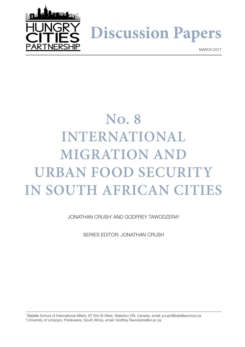



MARCH 2017

# **No. 8 INTERNATIONAL MIGRATION AND URBAN FOOD SECURITY IN SOUTH AFRICAN CITIES**

JONATHAN CRUSH<sup>1</sup> AND GODFREY TAWODZERA<sup>2</sup>

SERIES EDITOR: JONATHAN CRUSH

1 Balsillie School of International Affairs, 67 Erb St West, Waterloo ON, Canada, email: jcrush@balsillieschool.ca 2 University of Limpopo, Polokwane, South Africa, email: Godfrey.Tawodzera@ul.ac.za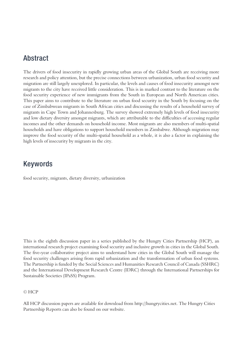## Abstract

The drivers of food insecurity in rapidly growing urban areas of the Global South are receiving more research and policy attention, but the precise connections between urbanization, urban food security and migration are still largely unexplored. In particular, the levels and causes of food insecurity amongst new migrants to the city have received little consideration. This is in marked contrast to the literature on the food security experience of new immigrants from the South in European and North American cities. This paper aims to contribute to the literature on urban food security in the South by focusing on the case of Zimbabwean migrants in South African cities and discussing the results of a household survey of migrants in Cape Town and Johannesburg. The survey showed extremely high levels of food insecurity and low dietary diversity amongst migrants, which are attributable to the difficulties of accessing regular incomes and the other demands on household income. Most migrants are also members of multi-spatial households and have obligations to support household members in Zimbabwe. Although migration may improve the food security of the multi-spatial household as a whole, it is also a factor in explaining the high levels of insecurity by migrants in the city.

### Keywords

food security, migrants, dietary diversity, urbanization

This is the eighth discussion paper in a series published by the Hungry Cities Partnership (HCP), an international research project examining food security and inclusive growth in cities in the Global South. The five-year collaborative project aims to understand how cities in the Global South will manage the food security challenges arising from rapid urbanization and the transformation of urban food systems. The Partnership is funded by the Social Sciences and Humanities Research Council of Canada (SSHRC) and the International Development Research Centre (IDRC) through the International Partnerships for Sustainable Societies (IPaSS) Program.

© HCP

All HCP discussion papers are available for download from [http://hungrycities.net.](http://hungrycities.net) The Hungry Cities Partnership Reports can also be found on our [website.](http://hungrycities.net)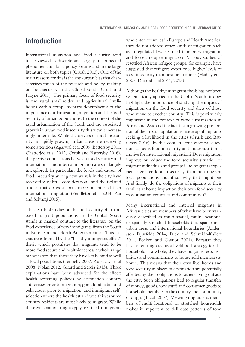# Introduction

International migration and food security tend to be viewed as discrete and largely unconnected phenomena in global policy forums and in the large literature on both topics (Crush 2013). One of the main reasons for this is the anti-urban bias that characterizes much of the research and policy-making on food security in the Global South (Crush and Frayne 2011). The primary focus of food security is the rural smallholder and agricultural livelihoods with a complementary downplaying of the importance of urbanization, migration and the food security of urban populations. In the context of the rapid urbanization of the South and the associated growth in urban food insecurity this view is increasingly untenable. While the drivers of food insecurity in rapidly growing urban areas are receiving some attention (Agarwal et al 2009, Battersby 2011, Chatterjee et al 2012, Crush and Battersby 2016), the precise connections between food security and international and internal migration are still largely unexplored. In particular, the levels and causes of food insecurity among new arrivals in the city have received very little consideration –and the isolated studies that do exist focus more on internal than international migration (Pendleton et al 2014, Rai and Selvaraj 2015).

The dearth of studies on the food security of urbanbased migrant populations in the Global South stands in marked contrast to the literature on the food experience of new immigrants from the South in European and North American cities. This literature is framed by the "healthy immigrant effect" thesis which postulates that migrants tend to be more food secure and healthier across a whole range of indicators than those they have left behind as well as local populations (Fennelly 2007, Rubalcava et al 2008, Nolan 2012, Girard and Sercia 2013). Three explanations have been advanced for the effect: health screening policies by destination country authorities prior to migration; good food habits and behaviours prior to migration; and immigrant selfselection where the healthiest and wealthiest source country residents are most likely to migrate. While these explanations might apply to skilled immigrants

who enter countries in Europe and North America, they do not address other kinds of migration such as unregulated lower-skilled temporary migration and forced refugee migration. Various studies of resettled African refugee groups, for example, have suggested that refugees experience higher levels of food insecurity than host populations (Hadley et al 2007, Dharod et al 2011, 2013).

Although the healthy immigrant thesis has not been systematically applied in the Global South, it does highlight the importance of studying the impact of migration on the food security and diets of those who move to another country. This is particularly important in the context of rapid urbanization in Africa and Asia and the fact that a growing proportion of the urban population is made up of migrants seeking a livelihood in the cities (Crush and Battersby 2016). In this context, four essential questions arise: is food insecurity and undernutrition a motive for international migration? Does migration improve or reduce the food security situation of migrant individuals and groups? Do migrants experience greater food insecurity than non-migrant local populations and, if so, why that might be? And finally, do the obligations of migrants to their families at home impact on their own food security in destination countries and communities?

Many international and internal migrants in African cities are members of what have been variously described as multi-spatial, multi-locational or spatially-stretched households that span ruralurban areas and international boundaries (Andersson Djurfeldt 2014, Dick and Schmidt-Kallert 2011, Foeken and Owuor 2001). Because they have often migrated as a livelihood strategy for the household as a whole, they have ongoing responsibilities and commitments to household members at home. This means that their own livelihoods and food security in places of destination are potentially affected by their obligations to others living outside the city. Such obligations lead to regular transfers of money, goods, foodstuffs and consumer goods to household members in the country and community of origin (Tacoli 2007). Viewing migrants as members of multi-locational or stretched households makes it important to delineate patterns of food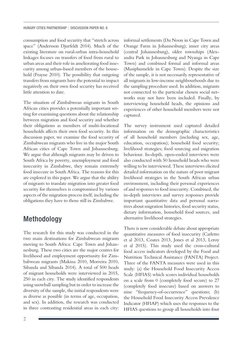consumption and food security that "stretch across space" (Andersson Djurfeldt 2014). Much of the existing literature on rural-urban intra-household linkages focuses on transfers of food from rural to urban areas and their role in ameliorating food insecurity among urban-based members of the household (Frayne 2010). The possibility that outgoing transfers from migrants have the potential to impact negatively on their own food security has received little attention to date.

The situation of Zimbabwean migrants in South African cities provides a potentially important setting for examining questions about the relationship between migration and food security and whether their obligations as members of multi-locational households affects their own food security. In this discussion paper, we examine the food security of Zimbabwean migrants who live in the major South African cities of Cape Town and Johannesburg. We argue that although migrants may be driven to South Africa by poverty, unemployment and food insecurity in Zimbabwe, they remain extremely food insecure in South Africa. The reasons for this are explored in this paper. We argue that the ability of migrants to translate migration into greater food security for themselves is compromised by various aspects of the migration process itself, including the obligations they have to those still in Zimbabwe.

## Methodology

The research for this study was conducted in the two main destinations for Zimbabwean migrants moving to South Africa: Cape Town and Johannesburg. These two cities are the major centres for livelihood and employment opportunity for Zimbabwean migrants (Makina 2010, Morreira 2010, Sibanda and Sibanda 2014). A total of 500 heads of migrant households were interviewed in 2015, 250 in each city. The study identified respondents using snowball sampling but in order to increase the diversity of the sample, the initial respondents were as diverse as possible (in terms of age, occupation, and sex). In addition, the research was conducted in three contrasting residential areas in each city:

informal settlements (Du Noon in Cape Town and Orange Farm in Johannesburg); inner city areas (central Johannesburg), older townships (Alexandra Park in Johannesburg and Nyanga in Cape Town) and combined formal and informal areas (Masiphumelele in Cape Town). Despite the size of the sample, it is not necessarily representative of all migrants in low-income neighbourhoods due to the sampling procedure used. In addition, migrants not connected to the particular chosen social networks may not have been included. Finally, by interviewing household heads, the opinions and experiences of other household members were not captured.

The survey instrument used captured detailed information on the demographic characteristics of all household members (including sex, age, education, occupation); household food security; livelihood strategies; food sourcing and migration behaviour. In-depth, open-ended interviews were also conducted with 50 household heads who were willing to be interviewed. These interviews elicited detailed information on the nature of poor migrant livelihood strategies in the South African urban environment, including their personal experiences of and responses to food insecurity. Combined, the in-depth interviews and survey responses provide important quantitative data and personal narratives about migration histories, food security status, dietary information, household food sources, and alternative livelihood strategies.

There is now considerable debate about appropriate quantitative measures of food insecurity (Carletto et al 2013, Coates 2013, Jones et al 2013, Leroy et al 2015). This study used the cross-cultural food access indicators developed by the Food and Nutrition Technical Assistance (FANTA) Project. Three of the FANTA measures were used in this study: (a) the Household Food Insecurity Access Scale (HFIAS) which scores individual households on a scale from 0 (completely food secure) to 27 (completely food insecure) based on answers to nine "frequency-of-occurrence" questions; (b) the Household Food Insecurity Access Prevalence Indicator (HFIAP) which uses the responses to the HFIAS questions to group all households into four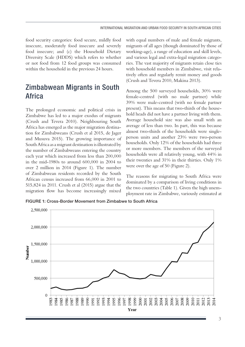food security categories: food secure, mildly food insecure, moderately food insecure and severely food insecure; and (c) the Household Dietary Diversity Scale (HDDS) which refers to whether or not food from 12 food groups was consumed within the household in the previous 24 hours.

## Zimbabwean Migrants in South Africa

The prolonged economic and political crisis in Zimbabwe has led to a major exodus of migrants (Crush and Tevera 2010). Neighbouring South Africa has emerged as the major migration destination for Zimbabweans (Crush et al 2015, de Jager and Musuva 2015). The growing importance of South Africa as a migrant destination is illustrated by the number of Zimbabweans entering the country each year which increased from less than 200,000 in the mid-1980s to around 600,000 in 2004 to over 2 million in 2014 (Figure 1). The number of Zimbabwean residents recorded by the South African census increased from 66,000 in 2001 to 515,824 in 2011. Crush et al (2015) argue that the migration flow has become increasingly mixed

with equal numbers of male and female migrants, migrants of all ages (though dominated by those of working-age), a range of education and skill levels, and various legal and extra-legal migration categories. The vast majority of migrants retain close ties with household members in Zimbabwe, visit relatively often and regularly remit money and goods (Crush and Tevera 2010, Makina 2013).

Among the 500 surveyed households, 30% were female-centred (with no male partner) while 39% were male-centred (with no female partner present). This means that two-thirds of the household heads did not have a partner living with them. Average household size was also small with an average of less than two. In part, this was because almost two-thirds of the households were singleperson units and another 23% were two-person households. Only 12% of the households had three or more members. The members of the surveyed households were all relatively young, with 44% in their twenties and 31% in their thirties. Only 1% were over the age of 50 (Figure 2).

The reasons for migrating to South Africa were dominated by a comparison of living conditions in the two countries (Table 1). Given the high unemployment rate in Zimbabwe, variously estimated at

FIGURE 1: Cross-Border Movement from Zimbabwe to South Africa

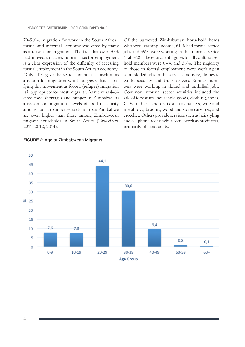HUNGRY CITIES PARTNERSHIP | DISCUSSION PAPER NO. 8

70-90%, migration for work in the South African formal and informal economy was cited by many as a reason for migration. The fact that over 70% had moved to access informal sector employment is a clear expression of the difficulty of accessing formal employment in the South African economy. Only 11% gave the search for political asylum as a reason for migration which suggests that classifying this movement as forced (refugee) migration is inappropriate for most migrants. As many as 44% cited food shortages and hunger in Zimbabwe as a reason for migration. Levels of food insecurity among poor urban households in urban Zimbabwe are even higher than those among Zimbabwean migrant households in South Africa (Tawodzera 2011, 2012, 2014).

Of the surveyed Zimbabwean household heads who were earning income, 61% had formal sector jobs and 39% were working in the informal sector (Table 2). The equivalent figures for all adult household members were 64% and 36%. The majority of those in formal employment were working in semi-skilled jobs in the services industry, domestic work, security and truck drivers. Similar numbers were working in skilled and unskilled jobs. Common informal sector activities included the sale of foodstuffs, household goods, clothing, shoes, CDs, and arts and crafts such as baskets, wire and metal toys, brooms, wood and stone carvings, and crotchet. Others provide services such as hairstyling and cellphone access while some work as producers, primarily of handicrafts.



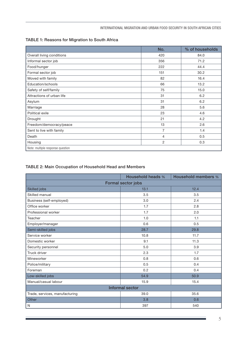INTERNATIONAL MIGRATION AND URBAN FOOD SECURITY IN SOUTH AFRICAN CITIES

TABLE 1: Reasons for Migration to South Africa

|                                  | No.            | % of households |  |
|----------------------------------|----------------|-----------------|--|
| Overall living conditions        | 420            | 84.0            |  |
| Informal sector job              | 356            | 71.2            |  |
| Food/hunger                      | 222            | 44.4            |  |
| Formal sector job                | 151            | 30.2            |  |
| Moved with family                | 82             | 16.4            |  |
| Education/schools                | 66             | 13.2            |  |
| Safety of self/family            | 75             | 15.0            |  |
| Attractions of urban life        | 31             | 6.2             |  |
| Asylum                           | 31             | 6.2             |  |
| Marriage                         | 28             | 5.6             |  |
| Political exile                  | 23             | 4.6             |  |
| Drought                          | 21             | 4.2             |  |
| Freedom/democracy/peace          | 13             | 2.6             |  |
| Sent to live with family         | $\overline{7}$ | 1.4             |  |
| Death                            | $\overline{4}$ | 0.5             |  |
| Housing                          | $\overline{2}$ | 0.3             |  |
| Note: multiple response question |                |                 |  |

#### TABLE 2: Main Occupation of Household Head and Members

|                                | <b>Household heads %</b> | <b>Household members %</b> |  |  |  |
|--------------------------------|--------------------------|----------------------------|--|--|--|
| Formal sector jobs             |                          |                            |  |  |  |
| Skilled jobs                   | 13.1                     | 12.4                       |  |  |  |
| Skilled manual                 | 3.5                      | 3.5                        |  |  |  |
| Business (self-employed)       | 3.0                      | 2.4                        |  |  |  |
| Office worker                  | 1.7                      | 2.8                        |  |  |  |
| Professional worker            | 1.7                      | 2.0                        |  |  |  |
| Teacher                        | 1.0                      | 1.1                        |  |  |  |
| Employer/manager               | 0.6                      | 0.5                        |  |  |  |
| Semi-skilled jobs              | 28.7                     | 29.8                       |  |  |  |
| Service worker                 | 10.8                     | 11.7                       |  |  |  |
| Domestic worker                | 9.1                      | 11.3                       |  |  |  |
| Security personnel             | 5.0                      | 3.9                        |  |  |  |
| Truck driver                   | 2.3                      | 1.7                        |  |  |  |
| Mineworker                     | 0.8                      | 0.6                        |  |  |  |
| Police/military                | 0.5                      | 0.4                        |  |  |  |
| Foreman                        | 0.2                      | 0.4                        |  |  |  |
| Low-skilled jobs               | 54.9                     | 50.9                       |  |  |  |
| Manual/casual labour           | 15.9                     | 15.4                       |  |  |  |
| Informal sector                |                          |                            |  |  |  |
| Trade, services, manufacturing | 39.0                     | 35.6                       |  |  |  |
| Other                          | 3.8                      | 0.6                        |  |  |  |
| N                              | 397                      | 540                        |  |  |  |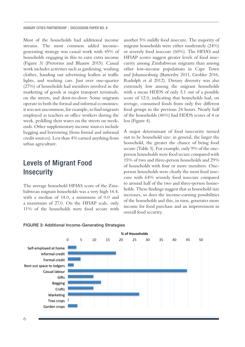HUNGRY CITIES PARTNERSHIP | DISCUSSION PAPER NO. 8

Most of the households had additional income streams. The most common added incomegenerating strategy was casual work with 45% of households engaging in this to earn extra income (Figure 3) (Pretorius and Blaauw 2015). Casual work includes activities such as gardening, washing clothes, handing out advertising leaflets at traffic lights, and washing cars. Just over one-quarter (27%) of households had members involved in the marketing of goods at major transport terminals, on the streets, and door-to-door. Some migrants operate in both the formal and informal economies: it was not uncommon, for example, to find migrants employed as teachers or office workers during the week, peddling their wares on the streets on weekends. Other supplementary income sources include begging and borrowing (from formal and informal credit sources). Less than 4% earned anything from urban agriculture.

# Levels of Migrant Food **Insecurity**

The average household HFIAS score of the Zimbabwean migrant households was a very high 14.4, with a median of 14.0, a minimum of 0.0 and a maximum of 27.0. On the HFIAP scale, only 11% of the households were food secure with another 5% mildly food insecure. The majority of migrant households were either moderately (24%) or severely food insecure (60%). The HFIAS and HFIAP scores suggest greater levels of food insecurity among Zimbabwean migrants than among other low-income populations in Cape Town and Johannesburg (Battersby 2011, Grobler 2016, Rudolph et al 2012). Dietary diversity was also extremely low among the migrant households with a mean HDDS of only 5.1 out of a possible score of 12.0, indicating that households had, on average, consumed foods from only five different food groups in the previous 24 hours. Nearly half of the households (46%) had HDDS scores of 4 or less (Figure 4).

A major determinant of food insecurity turned out to be household size: in general, the larger the household, the greater the chance of being food secure (Table 3). For example, only 9% of the oneperson households were food secure compared with 15% of two and three-person households and 29% of households with four or more members. Oneperson households were clearly the most food insecure with 64% severely food insecure compared to around half of the two and three-person households. These findings suggest that as household size increases, so does the income-earning possibilities of the households and this, in turn, generates more income for food purchase and an improvement in overall food security.



#### FIGURE 3: Additional Income-Generating Strategies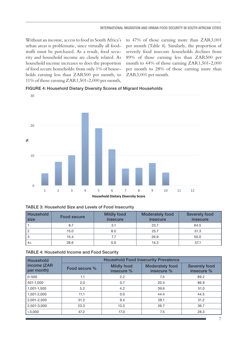Without an income, access to food in South Africa's urban areas is problematic, since virtually all foodstuffs must be purchased. As a result, food security and household income are closely related. As household income increases so does the proportion of food secure households: from only 1% of households earning less than ZAR500 per month, to 11% of those earning ZAR1,501-2,000 per month, to 47% of those earning more than ZAR3,001 per month (Table 4). Similarly, the proportion of severely food insecure households declines from 89% of those earning less than ZAR500 per month to 44% of those earning ZAR1,501-2,000 per month to 28% of those earning more than ZAR3,001 per month.

FIGURE 4: Household Dietary Diversity Scores of Migrant Households



| TABLE 3: Household Size and Levels of Food Insecurity |  |
|-------------------------------------------------------|--|
|-------------------------------------------------------|--|

| <b>Household</b><br>size | Food secure | <b>Mildly food</b><br><i>insecure</i> | <b>Moderately food</b><br><i>insecure</i> | <b>Severely food</b><br><i>insecure</i> |
|--------------------------|-------------|---------------------------------------|-------------------------------------------|-----------------------------------------|
|                          | 8.7         | 3.1                                   | 23.7                                      | 64.5                                    |
|                          | 15.0        | 8.0                                   | 25.7                                      | 51.3                                    |
| 3                        | 15.4        |                                       | 26.9                                      | 50.0                                    |
| -4                       | 28.6        | 0.0                                   | 14.3                                      | 57.1                                    |

| <b>Household</b>          | <b>Household Food Insecurity Prevalence</b> |                                  |                                      |                                    |
|---------------------------|---------------------------------------------|----------------------------------|--------------------------------------|------------------------------------|
| income (ZAR<br>per month) | Food secure %                               | <b>Mildly food</b><br>insecure % | <b>Moderately food</b><br>insecure % | <b>Severely food</b><br>insecure % |
| $0 - 500$                 | 1.1                                         | 2.2                              | 7.5                                  | 89.2                               |
| 501-1,000                 | 2.0                                         | 0.7                              | 20.4                                 | 86.9                               |
| 1,001-1,500               | 5.2                                         | 4.2                              | 39.6                                 | 51.0                               |
| 1,501-2,000               | 11.1                                        | 0.0                              | 44.4                                 | 44.5                               |
| 2,001-2,500               | 31.2                                        | 9.4                              | 28.1                                 | 31.2                               |
| 2,501-3,000               | 23.3                                        | 13.3                             | 26.7                                 | 36.7                               |
| >3,000                    | 47.2                                        | 17.0                             | 7.5                                  | 28.3                               |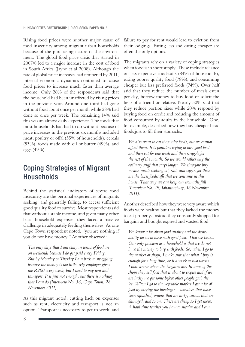Rising food prices were another major cause of food insecurity among migrant urban households because of the purchasing nature of the environment. The global food price crisis that started in 2007/8 led to a major increase in the cost of food in South Africa (Jayne et al 2008). Although the rate of global price increases had tempered by 2011, internal economic dynamics continued to cause food prices to increase much faster than average income. Only 26% of the respondents said that the household had been unaffected by rising prices in the previous year. Around one-third had gone without food about once per month while 28% had done so once per week. The remaining 14% said this was an almost daily experience. The foods that most households had had to do without because of price increases in the previous six months included meat, poultry or offal (55% of households), cereals (53%), foods made with oil or butter (49%), and eggs (49%).

# Coping Strategies of Migrant Households

Behind the statistical indicators of severe food insecurity are the personal experiences of migrants seeking, and generally failing, to access sufficient good quality food to survive. Most respondents said that without a stable income, and given many other basic household expenses, they faced a massive challenge in adequately feeding themselves. As one Cape Town respondent noted, "you are nothing if you do not have money." Another observed:

*The only days that I am okay in terms of food are on weekends because I do get paid every Friday. But by Monday or Tuesday I am back to struggling because the money is too little. My employer gives me R200 every week, but I need to pay rent and transport. It is just not enough, but there is nothing that I can do (Interview No. 36, Cape Town, 28 November 2011).* 

As this migrant noted, cutting back on expenses such as rent, electricity and transport is not an option. Transport is necessary to get to work, and failure to pay for rent would lead to eviction from their lodgings. Eating less and eating cheaper are often the only options.

The migrants rely on a variety of coping strategies when food is in short supply. These include reliance on less expensive foodstuffs (84% of households), eating poorer quality food (78%), and consuming cheaper but less preferred foods (74%). Over half said that they reduce the number of meals eaten per day, borrow money to buy food or solicit the help of a friend or relative. Nearly 50% said that they reduce portion sizes while 20% respond by buying food on credit and reducing the amount of food consumed by adults in the household. One, for example, described how they buy cheaper basic foods just to fill their stomachs:

*We also want to eat these nice foods, but we cannot afford them. It is pointless trying to buy good food and then eat for one week and then struggle for the rest of the month. So we would rather buy the ordinary stuff that stays longer. We therefore buy mealie-meal; cooking oil, salt, and sugar, for these are the basic foodstuffs that we consume in this house. That way we can keep our stomachs full (Interview No. 19, Johannesburg, 16 November 2011).*

Another described how they were very aware which foods were healthy but that they lacked the money to eat properly. Instead they constantly shopped for bargains and bought expired and wasted food:

*We know a lot about food quality and the desirability for us to have such good food. That we know. Our only problem as a household is that we do not have the money to buy such foods. So, when I go to the market or shops, I make sure that what I buy is enough for a long time, be it a week or two weeks. I now know where the bargains are. In some of the shops they sell food that is about to expire and if we are lucky we get some before other people grab the lot. When I go to the vegetable market I get a lot of food by buying the breakages – tomatoes that have been squashed, onions that are dirty, carrots that are damaged, and so on. These are cheap so I get more. A hard time teaches you how to survive and I can*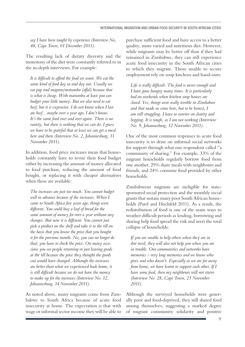*say I have been taught by experience (Interview No, 48, Cape Town, 01 December 2011).*

The resulting lack of dietary diversity and the monotony of the diet were constantly referred to in the in-depth interviews. For example:

It is difficult to afford the food we want. We eat the *same kind of food day in and day out. Usually we eat pap and maguru/matumbu (offal) because that is what is cheap. With matumbu at least you can budget your little money. But we also need to eat beef, but it is expensive. I do not know when I last ate beef…maybe over a year ago, I don't know. It's the same food over and over again. There is no variety, but there is nothing that we can do. I guess we have to be grateful that at least we can get a meal here and there (Interview No. 2, Johannesburg, 11 November 2011).* 

In addition, food price increases mean that households constantly have to revise their food budget either by increasing the amount of money allocated to food purchase, reducing the amount of food bought, or replacing it with cheaper alternatives when these are available:

*The increases are just too much. You cannot budget well in advance because of the increases. When I came to South Africa five years ago, things were different. You could buy a loaf of bread for the same amount of money for over a year without any changes. But now it is different. You cannot just pick a product on the shelf and take it to the till on the basis that you know the price that you bought it for the previous month. No, you can no longer do that; you have to check the price. On many occasions you see people returning or just leaving goods at the till because the price they thought the goods cost would have changed. Although the increases are better than what we experienced back home, it is still difficult because we do not have the money to make up for the increases (Interview No. 12, Johannesburg, 14 November 2011).*

As noted above, many migrants come from Zimbabwe to South Africa because of acute food insecurity at home. The expectation is that with wage or informal sector income they will be able to

purchase sufficient food and have access to a better quality, more varied and nutritious diet. However, while migrants may be better off than if they had remained in Zimbabwe, they can still experience acute food insecurity in the South African cities to which they migrate. Those unable to secure employment rely on soup kitchens and hand-outs:

*Life is really difficult. The food is never enough and I have gone hungry many times. It is particularly bad on weekends when kitchen soup houses are closed. Yes, things were really terrible in Zimbabwe and that made us come here, but to be honest, I am still struggling. I have to survive on charity and begging. It is tough, as I am not working (Interview No. 9, Johannesburg, 12 November 2011).* 

One of the most common responses to acute food insecurity is to draw on informal social networks for support through what one respondent called "a community of sharing." For example, 33% of the migrant households regularly borrow food from one another, 29% share meals with neighbours and friends, and 24% consume food provided by other households.

Zimbabwean migrants are ineligible for statesponsored social protection and the monthly social grants that sustain many poor South African households (Patel and Hochfeld 2011). As a result, the redistribution of food is one of the main ways to weather difficult periods as lending, borrowing and sharing help food spread the risk and avert the total collapse of households:

*If you are unable to help others when they are in dire need, they will also not help you when you are in trouble. Our communities and networks have memories – very long memories and we know who gives and who doesn't. Especially as we are far away from home, we have learnt to support each other. If I have some food, then my neighbours will not starve (Interview No. 28, Cape Town, 25 November 2011).*

Although the surveyed households were generally poor and food-deprived, they still shared food among themselves, suggesting a marked degree of migrant community solidarity and positive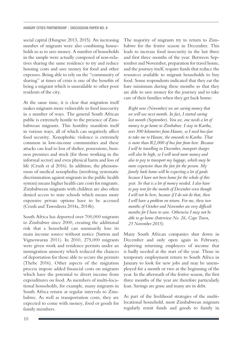social capital (Hungwe 2013, 2015). An increasing number of migrants were also combining households so as to save money. A number of households in the sample were actually composed of non-relatives sharing the same residence to try and reduce housing costs and save money for food and other expenses. Being able to rely on the "community of sharing" at times of crisis is one of the benefits of being a migrant which is unavailable to other poor residents of the city.

At the same time, it is clear that migration itself makes migrants more vulnerable to food insecurity in a number of ways. The general South African public is extremely hostile to the presence of Zimbabwean migrants. This hostility manifests itself in various ways, all of which can negatively affect food security. Xenophobic violence is extremely common in low-income communities and these attacks can lead to loss of shelter, possessions, business premises and stock (for those working in the informal sector) and even physical harm and loss of life (Crush et al 2016). In addition, the phenomenon of medical xenophobia (involving systematic discrimination against migrants in the public health system) means higher health care costs for migrants. Zimbabwean migrants with children are also often denied access to state schools which means more expensive private options have to be accessed (Crush and Tawodzera 2014a, 2014b).

South Africa has deported over 700,000 migrants to Zimbabwe since 2000, creating the additional risk that a household can summarily lose its main income source without notice (Sutton and Vigneswaran 2011). In 2010, 275,000 migrants were given work and residence permits under an immigration amnesty which reduced the chances of deportation for those able to secure the permits (Thebe 2016). Other aspects of the migration process impose added financial costs on migrants which have the potential to divert income from expenditures on food. As members of multi-locational households, for example, many migrants in South Africa return at regular intervals to Zimbabwe. As well as transportation costs, they are expected to come with money, food or goods for family members.

The majority of migrants try to return to Zimbabwe for the festive season in December. This leads to increase food insecurity in the last three and first three months of the year. Between September and November, preparation for travel home, and the journey itself, require funds that reduce the resources available to migrant households to buy food. Some respondents indicated that they eat the bare minimum during these months so that they are able to save money for the journey and to take care of their families when they get back home:

*Right now (November) we are saving money that we will use next month. In fact, I started saving last month (September). You see, one needs a lot of money to go home to Zimbabwe. I stay in Kariba, over 300 kilometres from Harare, so I need bus-fare to take me to Harare, the onwards to Kariba. That is more than R2,000 of bus fare from here. Because I will be travelling in December, transport charges will also be high, so I will need more money and also to pay to transport my luggage, which may be more expensive than the fare for the person. My family back home will be expecting a lot of goods because I have not been home for the whole of this year. So that is a lot of money needed. I also have to pay rent for the month of December even though I will not be here, because if I do not do that, then I will have a problem on return. For me, these two months of October and November are very difficult months for I have to save. Otherwise I may not be able to go home (Interview No. 26, Cape Town, 25 November 2015).* 

Many South African companies shut down in December and only open again in February, depriving returning employees of income that is badly needed at the start of the year. Those in temporary employment return to South Africa in January to look for new jobs and may be unemployed for a month or two at the beginning of the year. In the aftermath of the festive season, the first three months of the year are therefore particularly lean. Savings are gone and many are in debt.

As part of the livelihood strategies of the multilocational household, most Zimbabwean migrants regularly remit funds and goods to family in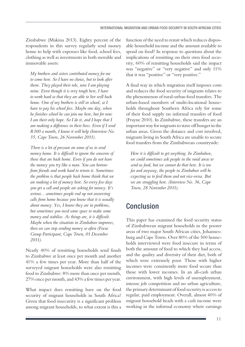Zimbabwe (Makina 2013). Eighty percent of the respondents in this survey regularly send money home to help with expenses like food, school fees, clothing as well as investments in both movable and immovable assets:

*My brothers and sisters contributed money for me to come here. So I have no choice, but to look after them. They played their role, now I am playing mine. Even though it is very tough here, I have to work hard so that they are able to live well back home. One of my brothers is still in school, so I have to pay his school fees. Maybe one day, when he finishes school he can join me here, but for now I am their only hope. So I do it, and I hope that I am making a difference in their lives. Even if I send R100 a month, I know it will help (Interview No. 35, Cape Town, 26 November 2011).*

*There is a lot of pressure on some of us to send money home. It is difficult to ignore the concerns of those that are back home. Even if you do not have the money you try like a man. You can borrow from friends and work hard to return it. Sometimes the problem is that people back home think that we are making a lot of money here. So every few days you get a call and people are asking for money. It's serious…sometimes people end up not answering calls from home because you know that it is usually about money. Yes, I know they are in problems, but sometimes you need some space to make some money and stabilise. As things are, it is difficult. Maybe when the situation in Zimbabwe improves, then we can stop sending money so often (Focus Group Participant, Cape Town, 01 December 2011).* 

Nearly 40% of remitting households send funds to Zimbabwe at least once per month and another 41% a few times per year. More than half of the surveyed migrant households were also remitting food to Zimbabwe: 8% more than once per month, 27% once per month, and 43% a few times per year.

What impact does remitting have on the food security of migrant households in South Africa? Given that food insecurity is a significant problem among migrant households, to what extent is this a

function of the need to remit which reduces disposable household income and the amount available to spend on food? In response to questions about the implications of remitting on their own food security, 60% of remitting households said the impact was "negative" or "very negative" and only 11% that it was "positive" or "very positive."

A final way in which migration itself imposes costs and reduces the food security of migrants relates to the phenomenon of rural-urban food transfers. The urban-based members of multi-locational households throughout Southern Africa rely for some of their food supply on informal transfers of food (Frayne 2010). In Zimbabwe, these transfers are an important way for migrants to stave off hunger in the urban areas. Given the distance and cost involved, migrants living in South Africa are unable to secure food transfers from the Zimbabwean countryside:

*Here it is difficult to get anything. In Zimbabwe, we could sometimes ask people in the rural areas to send us food, but we cannot do that here. It is too far and anyway, the people in Zimbabwe will be expecting us to feed them and not vice-versa. But we are struggling here. (Interview No. 36, Cape Town, 28 November 2011).* 

# Conclusion

This paper has examined the food security status of Zimbabwean migrant households in the poorer areas of two major South African cities, Johannesburg and Cape Town. Over 80% of the 500 households interviewed were food insecure in terms of both the amount of food to which they had access, and the quality and diversity of their diet, both of which were extremely poor. Those with higher incomes were consistently more food secure than those with lower incomes. In an all-cash urban environment, with high levels of unemployment, intense job competition and no urban agriculture, the primary determinant of food security is access to regular, paid employment. Overall, almost 40% of migrant household heads with a cash income were working in the informal economy where earnings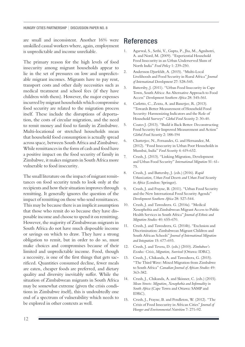HUNGRY CITIES PARTNERSHIP | DISCUSSION PAPER NO. 8

are small and inconsistent. Another 16% were unskilled casual workers where, again, employment is unpredictable and income unreliable.

The primary reason for the high levels of food insecurity among migrant households appear to lie in the set of pressures on low and unpredictable migrant incomes. Migrants have to pay rent, transport costs and other daily necessities such as medical treatment and school fees (if they have children with them). However, the major expenses incurred by migrant households which compromise food security are related to the migration process itself. These include the disruptions of deportation, the costs of circular migration, and the need to remit money and food to family in Zimbabwe. Multi-locational or stretched households mean that household food consumption is actually spread across space, between South Africa and Zimbabwe. While remittances in the form of cash and food have a positive impact on the food security of family in Zimbabwe, it makes migrants in South Africa more vulnerable to food insecurity.

The small literature on the impact of migrant remittances on food security tends to look only at the recipients and how their situation improves through remitting. It generally ignores the question of the impact of remitting on those who send remittances. This may be because there is an implicit assumption that those who remit do so because they have disposable income and choose to spend it on remitting. However, the majority of Zimbabwean migrants in South Africa do not have much disposable income or savings on which to draw. They have a strong obligation to remit, but in order to do so, must make choices and compromises because of their limited and unpredictable income. Food, though a necessity, is one of the first things that gets sacrificed. Quantities consumed decline, fewer meals are eaten, cheaper foods are preferred, and dietary quality and diversity inevitably suffer. While the situation of Zimbabwean migrants in South Africa may be somewhat extreme (given the crisis conditions in Zimbabwe itself), this is undoubtedly one end of a spectrum of vulnerability which needs to be explored in other contexts as well.

## References

- 1. Agarwal, S., Sethi, V., Gupta, P., Jha, M., Agnihotri, A. and Nord, M. (2009). "Experiential Household Food Insecurity in an Urban Underserved Slum of North India" *Food Policy* 1: 239-250.
- 2. Andersson Djurfeldt, A. (2015). "Multi-Local Livelihoods and Food Security in Rural Africa" *Journal of International Development* 27: 528-545.
- 3. Battersby, J. (2011). "Urban Food Insecurity in Cape Town, South Africa: An Alternative Approach to Food Access" *Development Southern Africa* 28: 545-561.
- 4. Carletto, C., Zezza, A. and Banerjee, R. (2013). "Towards Better Measurement of Household Food Security: Harmonizing Indicators and the Role of Household Surveys" *Global Food Security* 2: 30-40.
- 5. Coates J. (2013). "Build it Back Better: Deconstructing Food Security for Improved Measurement and Action" *Global Food Security* 2: 188-194
- 6. Chatterjee, N., Fernandes, G. and Hernandez, M. (2012). "Food Insecurity in Urban Poor Households in Mumbai, India" *Food Security* 4: 619-632.
- 7. Crush, J. (2013). "Linking Migration, Development and Urban Food Security" *International Migration* 51: 61- 75.
- 8. Crush, J. and Battersby, J. (eds.) (2016). *Rapid Urbanization, Urban Food Deserts and Urban Food Security in Africa* (London: Springer).
- 9. Crush, J. and Frayne, B. (2011). "Urban Food Security and the New International Food Security Agenda" *Development Southern Africa* 28: 527-544.
- 10. Crush, J. and Tawodzera. G. (2014a). "Medical Xenophobia and Zimbabwean Migrant Access to Public Health Services in South Africa" *Journal of Ethnic and Migration Studies* 40: 655-670.
- 11. Crush, J. and Tawodzera, G. (2014b). "Exclusion and Discrimination: Zimbabwean Migrant Children and South African Schools" *Journal of International Migration and Integration* 15: 677-693.
- 12. Crush, J. and Tevera, D. (eds.) (2010). *Zimbabwe's Exodus: Crisis, Migration, Survival* (Ottawa: IDRC).
- 13. Crush, J., Chikanda, A. and Tawodzera, G. (2015). "The Third Wave: Mixed Migration from Zimbabwe to South Africa" *Canadian Journal of African Studies* 49: 363-382.
- 14. Crush, J., Chikanda, A. and Skinner, C. (eds.) (2015). *Mean Streets: Migration, Xenophobia and Informality in South Africa* (Cape Town and Ottawa: SAMP and IDRC).
- 15. Crush, J., Frayne, B. and Pendleton, W. (2012). "The Crisis of Food Insecurity in African Cities" *Journal of Hunger and Environmental Nutrition* 7: 271-92.